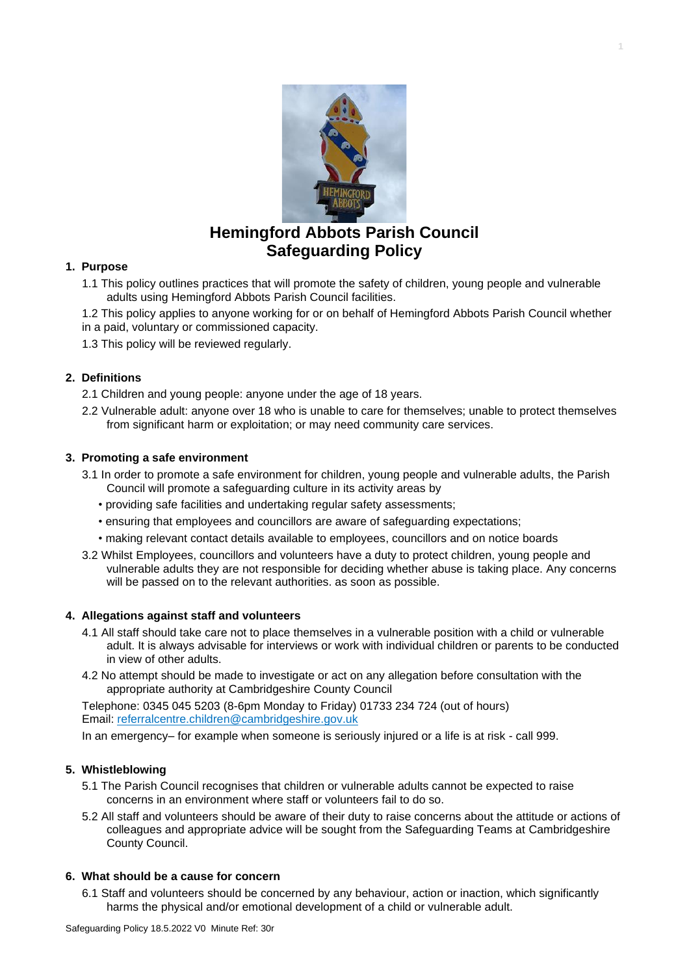

**1**

# **Hemingford Abbots Parish Council Safeguarding Policy**

#### **1. Purpose**

- 1.1 This policy outlines practices that will promote the safety of children, young people and vulnerable adults using Hemingford Abbots Parish Council facilities.
- 1.2 This policy applies to anyone working for or on behalf of Hemingford Abbots Parish Council whether in a paid, voluntary or commissioned capacity.
- 1.3 This policy will be reviewed regularly.

## **2. Definitions**

- 2.1 Children and young people: anyone under the age of 18 years.
- 2.2 Vulnerable adult: anyone over 18 who is unable to care for themselves; unable to protect themselves from significant harm or exploitation; or may need community care services.

## **3. Promoting a safe environment**

- 3.1 In order to promote a safe environment for children, young people and vulnerable adults, the Parish Council will promote a safeguarding culture in its activity areas by
	- providing safe facilities and undertaking regular safety assessments;
	- ensuring that employees and councillors are aware of safeguarding expectations;
	- making relevant contact details available to employees, councillors and on notice boards
- 3.2 Whilst Employees, councillors and volunteers have a duty to protect children, young people and vulnerable adults they are not responsible for deciding whether abuse is taking place. Any concerns will be passed on to the relevant authorities. as soon as possible.

#### **4. Allegations against staff and volunteers**

- 4.1 All staff should take care not to place themselves in a vulnerable position with a child or vulnerable adult. It is always advisable for interviews or work with individual children or parents to be conducted in view of other adults.
- 4.2 No attempt should be made to investigate or act on any allegation before consultation with the appropriate authority at Cambridgeshire County Council

Telephone: 0345 045 5203 (8-6pm Monday to Friday) 01733 234 724 (out of hours) Email: [referralcentre.children@cambridgeshire.gov.uk](mailto:referralcentre.children@cambridgeshire.gov.uk)

In an emergency– for example when someone is seriously injured or a life is at risk - call 999.

#### **5. Whistleblowing**

- 5.1 The Parish Council recognises that children or vulnerable adults cannot be expected to raise concerns in an environment where staff or volunteers fail to do so.
- 5.2 All staff and volunteers should be aware of their duty to raise concerns about the attitude or actions of colleagues and appropriate advice will be sought from the Safeguarding Teams at Cambridgeshire County Council.

#### **6. What should be a cause for concern**

6.1 Staff and volunteers should be concerned by any behaviour, action or inaction, which significantly harms the physical and/or emotional development of a child or vulnerable adult.